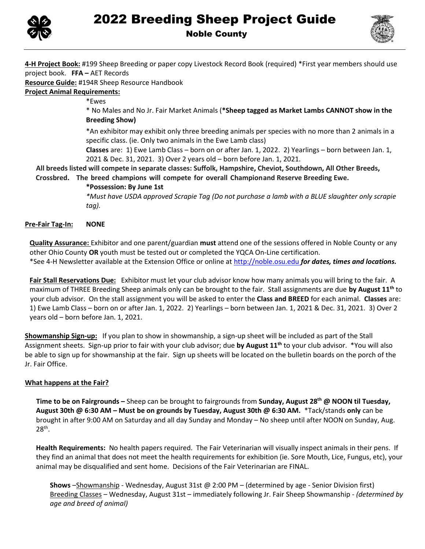



**4-H Project Book:** #199 Sheep Breeding or paper copy Livestock Record Book (required) \*First year members should use project book. **FFA –** AET Records

**Resource Guide:** #194R Sheep Resource Handbook

**Project Animal Requirements:**

\*Ewes

\* No Males and No Jr. Fair Market Animals (**\*Sheep tagged as Market Lambs CANNOT show in the Breeding Show)**

\*An exhibitor may exhibit only three breeding animals per species with no more than 2 animals in a specific class. (ie. Only two animals in the Ewe Lamb class)

**Classes** are: 1) Ewe Lamb Class – born on or after Jan. 1, 2022. 2) Yearlings – born between Jan. 1, 2021 & Dec. 31, 2021. 3) Over 2 years old – born before Jan. 1, 2021.

**All breeds listed will compete in separate classes: Suffolk, Hampshire, Cheviot, Southdown, All Other Breeds, Crossbred. The breed champions will compete for overall Championand Reserve Breeding Ewe.**

**\*Possession: By June 1st**

*\*Must have USDA approved Scrapie Tag (Do not purchase a lamb with a BLUE slaughter only scrapie tag).*

### **Pre-Fair Tag-In: NONE**

**Quality Assurance:** Exhibitor and one parent/guardian **must** attend one of the sessions offered in Noble County or any other Ohio County **OR** youth must be tested out or completed the YQCA On-Line certification. \*See 4-H Newsletter available at the Extension Office or online at http://noble.osu.edu *for dates, times and locations.*

**Fair Stall Reservations Due:** Exhibitor must let your club advisor know how many animals you will bring to the fair. A maximum of THREE Breeding Sheep animals only can be brought to the fair. Stall assignments are due **by August 11 th** to your club advisor. On the stall assignment you will be asked to enter the **Class and BREED** for each animal. **Classes** are: 1) Ewe Lamb Class – born on or after Jan. 1, 2022. 2) Yearlings – born between Jan. 1, 2021 & Dec. 31, 2021. 3) Over 2 years old – born before Jan. 1, 2021.

**Showmanship Sign-up:** If you plan to show in showmanship, a sign-up sheet will be included as part of the Stall Assignment sheets. Sign-up prior to fair with your club advisor; due **by August 11 th** to your club advisor. \*You will also be able to sign up for showmanship at the fair. Sign up sheets will be located on the bulletin boards on the porch of the Jr. Fair Office.

### **What happens at the Fair?**

**Time to be on Fairgrounds –** Sheep can be brought to fairgrounds from **Sunday, August 28th @ NOON til Tuesday, August 30th @ 6:30 AM – Must be on grounds by Tuesday, August 30th @ 6:30 AM.** \*Tack/stands **only** can be brought in after 9:00 AM on Saturday and all day Sunday and Monday – No sheep until after NOON on Sunday, Aug.  $28<sup>th</sup>$ .

**Health Requirements:** No health papers required. The Fair Veterinarian will visually inspect animals in their pens. If they find an animal that does not meet the health requirements for exhibition (ie. Sore Mouth, Lice, Fungus, etc), your animal may be disqualified and sent home. Decisions of the Fair Veterinarian are FINAL.

**Shows** –Showmanship - Wednesday, August 31st @ 2:00 PM – (determined by age - Senior Division first) Breeding Classes – Wednesday, August 31st – immediately following Jr. Fair Sheep Showmanship - *(determined by age and breed of animal)*